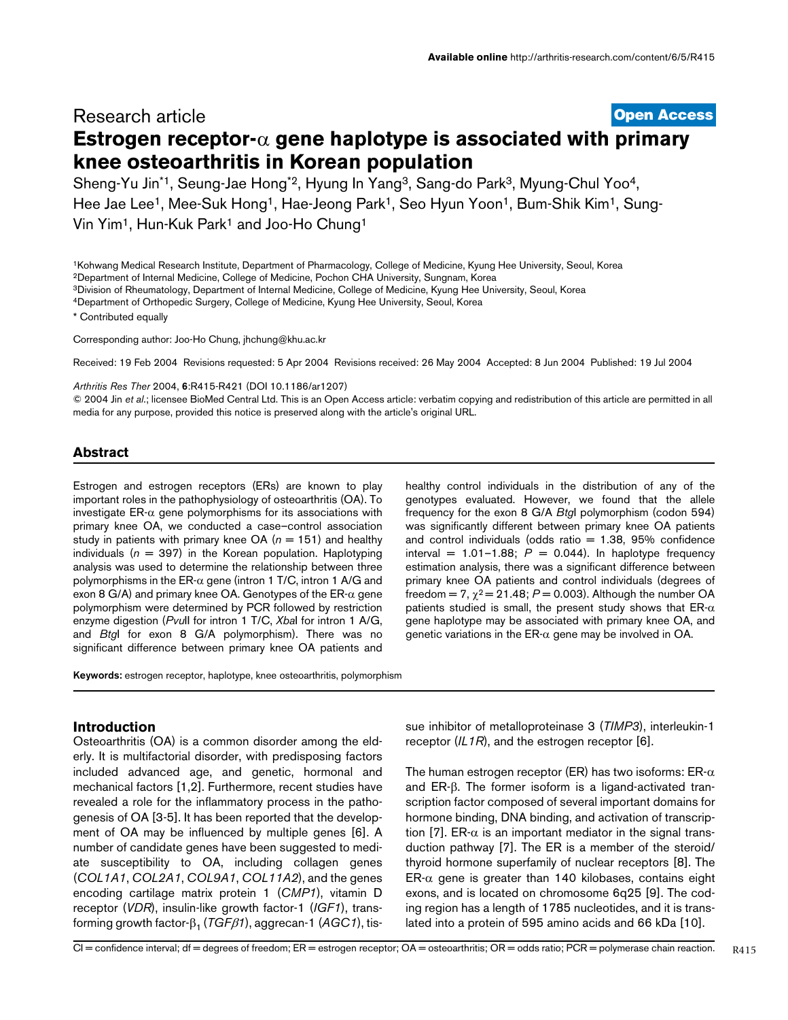# **[Open Access](http://www.biomedcentral.com/info/about/charter/)** Research article **Estrogen receptor-**α **gene haplotype is associated with primary knee osteoarthritis in Korean population**

Sheng-Yu Jin<sup>\*1</sup>, Seung-Jae Hong<sup>\*2</sup>, Hyung In Yang<sup>3</sup>, Sang-do Park<sup>3</sup>, Myung-Chul Yoo<sup>4</sup>, Hee Jae Lee<sup>1</sup>, Mee-Suk Hong<sup>1</sup>, Hae-Jeong Park<sup>1</sup>, Seo Hyun Yoon<sup>1</sup>, Bum-Shik Kim<sup>1</sup>, Sung-Vin Yim1, Hun-Kuk Park1 and Joo-Ho Chung1

1Kohwang Medical Research Institute, Department of Pharmacology, College of Medicine, Kyung Hee University, Seoul, Korea

2Department of Internal Medicine, College of Medicine, Pochon CHA University, Sungnam, Korea

3Division of Rheumatology, Department of Internal Medicine, College of Medicine, Kyung Hee University, Seoul, Korea

4Department of Orthopedic Surgery, College of Medicine, Kyung Hee University, Seoul, Korea

\* Contributed equally

Corresponding author: Joo-Ho Chung, jhchung@khu.ac.k[r](http://www.ncbi.nlm.nih.gov/entrez/query.fcgi?cmd=Retrieve&db=PubMed&dopt=Abstract&list_uids=10.1186/ar1207)

Received: 19 Feb 2004 Revisions requested: 5 Apr 2004 Revisions received: 26 May 2004 Accepted: 8 Jun 2004 Published: 19 Jul 2004

*Arthritis Res Ther* 2004, 6:R415-R421 (DOI 10.1186/ar1207)

© 2004 Jin *et al*.; licensee BioMed Central Ltd. This is an Open Access article: verbatim copying and redistribution of this article are permitted in all media for any purpose, provided this notice is preserved along with the article's original URL.

# **Abstract**

Estrogen and estrogen receptors (ERs) are known to play important roles in the pathophysiology of osteoarthritis (OA). To investigate  $ER-\alpha$  gene polymorphisms for its associations with primary knee OA, we conducted a case–control association study in patients with primary knee  $OA(n = 151)$  and healthy individuals ( $n = 397$ ) in the Korean population. Haplotyping analysis was used to determine the relationship between three polymorphisms in the ER- $\alpha$  gene (intron 1 T/C, intron 1 A/G and exon 8 G/A) and primary knee OA. Genotypes of the  $ER-\alpha$  gene polymorphism were determined by PCR followed by restriction enzyme digestion (*Pvu*II for intron 1 T/C, *Xba*I for intron 1 A/G, and *Btg*I for exon 8 G/A polymorphism). There was no significant difference between primary knee OA patients and

healthy control individuals in the distribution of any of the genotypes evaluated. However, we found that the allele frequency for the exon 8 G/A *Btg*I polymorphism (codon 594) was significantly different between primary knee OA patients and control individuals (odds ratio  $= 1.38, 95\%$  confidence interval =  $1.01-1.88$ ;  $P = 0.044$ ). In haplotype frequency estimation analysis, there was a significant difference between primary knee OA patients and control individuals (degrees of freedom =  $7, \chi^2$  = 21.48;  $P$  = 0.003). Although the number OA patients studied is small, the present study shows that  $ER-\alpha$ gene haplotype may be associated with primary knee OA, and genetic variations in the ER- $\alpha$  gene may be involved in OA.

**Keywords:** estrogen receptor, haplotype, knee osteoarthritis, polymorphism

# **Introduction**

Osteoarthritis (OA) is a common disorder among the elderly. It is multifactorial disorder, with predisposing factors included advanced age, and genetic, hormonal and mechanical factors [1,2]. Furthermore, recent studies have revealed a role for the inflammatory process in the pathogenesis of OA [3-5]. It has been reported that the development of OA may be influenced by multiple genes [6]. A number of candidate genes have been suggested to mediate susceptibility to OA, including collagen genes (*COL1A1*, *COL2A1*, *COL9A1*, *COL11A2*), and the genes encoding cartilage matrix protein 1 (*CMP1*), vitamin D receptor (*VDR*), insulin-like growth factor-1 (*IGF1*), transforming growth factor-β1 (*TGF*β*1*), aggrecan-1 (*AGC1*), tis-

sue inhibitor of metalloproteinase 3 (*TIMP3*), interleukin-1 receptor (*IL1R*), and the estrogen receptor [6].

The human estrogen receptor (ER) has two isoforms:  $ER-\alpha$ and ER-β. The former isoform is a ligand-activated transcription factor composed of several important domains for hormone binding, DNA binding, and activation of transcription [7]. ER- $\alpha$  is an important mediator in the signal transduction pathway [7]. The ER is a member of the steroid/ thyroid hormone superfamily of nuclear receptors [8]. The ER- $\alpha$  gene is greater than 140 kilobases, contains eight exons, and is located on chromosome 6q25 [9]. The coding region has a length of 1785 nucleotides, and it is translated into a protein of 595 amino acids and 66 kDa [10].

CI = confidence interval; df = degrees of freedom; ER = estrogen receptor; OA = osteoarthritis; OR = odds ratio; PCR = polymerase chain reaction.

R415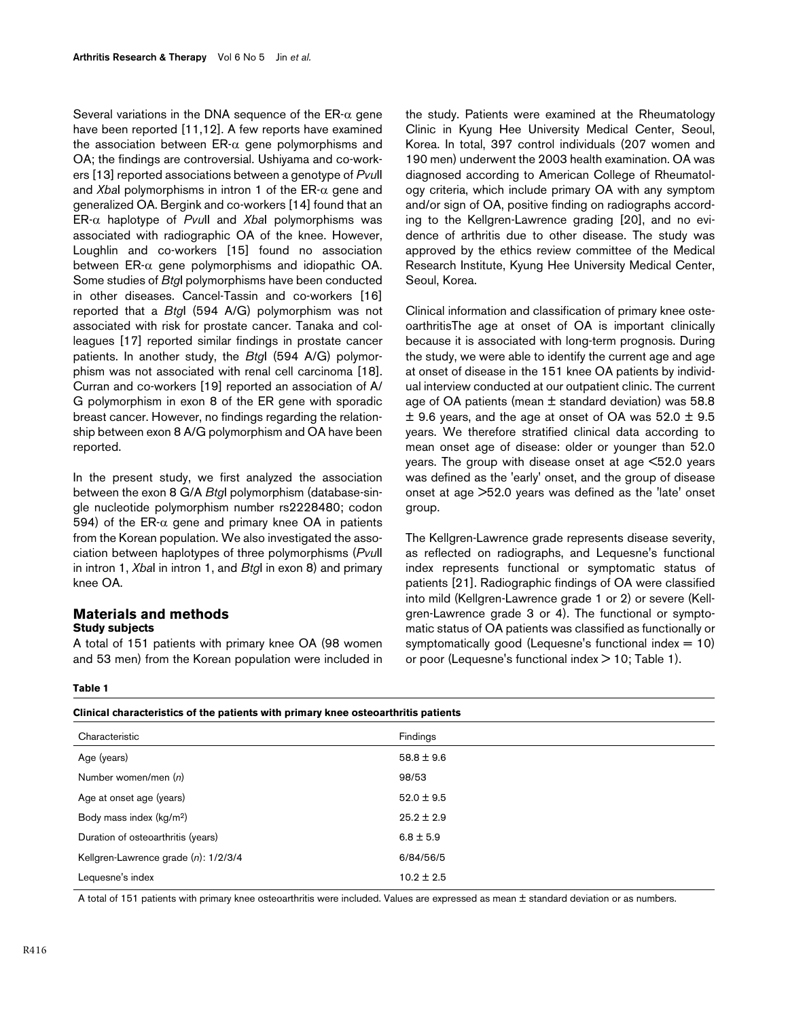Several variations in the DNA sequence of the  $ER-\alpha$  gene have been reported [11,12]. A few reports have examined the association between  $ER-\alpha$  gene polymorphisms and OA; the findings are controversial. Ushiyama and co-workers [13] reported associations between a genotype of *Pvu*II and *Xba*I polymorphisms in intron 1 of the ER-α gene and generalized OA. Bergink and co-workers [14] found that an ER-α haplotype of *Pvu*II and *Xba*I polymorphisms was associated with radiographic OA of the knee. However, Loughlin and co-workers [15] found no association between  $ER-\alpha$  gene polymorphisms and idiopathic OA. Some studies of *Btg*I polymorphisms have been conducted in other diseases. Cancel-Tassin and co-workers [16] reported that a *Btg*I (594 A/G) polymorphism was not associated with risk for prostate cancer. Tanaka and colleagues [17] reported similar findings in prostate cancer patients. In another study, the *Btg*I (594 A/G) polymorphism was not associated with renal cell carcinoma [18]. Curran and co-workers [19] reported an association of A/ G polymorphism in exon 8 of the ER gene with sporadic breast cancer. However, no findings regarding the relationship between exon 8 A/G polymorphism and OA have been reported.

In the present study, we first analyzed the association between the exon 8 G/A *Btg*I polymorphism (database-single nucleotide polymorphism number rs2228480; codon 594) of the ER- $\alpha$  gene and primary knee OA in patients from the Korean population. We also investigated the association between haplotypes of three polymorphisms (*Pvu*II in intron 1, *Xba*I in intron 1, and *Btg*I in exon 8) and primary knee OA.

# **Materials and methods Study subjects**

A total of 151 patients with primary knee OA (98 women and 53 men) from the Korean population were included in

**Clinical characteristics of the patients with primary knee osteoarthritis patients**

the study. Patients were examined at the Rheumatology Clinic in Kyung Hee University Medical Center, Seoul, Korea. In total, 397 control individuals (207 women and 190 men) underwent the 2003 health examination. OA was diagnosed according to American College of Rheumatology criteria, which include primary OA with any symptom and/or sign of OA, positive finding on radiographs according to the Kellgren-Lawrence grading [20], and no evidence of arthritis due to other disease. The study was approved by the ethics review committee of the Medical Research Institute, Kyung Hee University Medical Center, Seoul, Korea.

Clinical information and classification of primary knee osteoarthritisThe age at onset of OA is important clinically because it is associated with long-term prognosis. During the study, we were able to identify the current age and age at onset of disease in the 151 knee OA patients by individual interview conducted at our outpatient clinic. The current age of OA patients (mean  $\pm$  standard deviation) was 58.8  $\pm$  9.6 years, and the age at onset of OA was 52.0  $\pm$  9.5 years. We therefore stratified clinical data according to mean onset age of disease: older or younger than 52.0 years. The group with disease onset at age <52.0 years was defined as the 'early' onset, and the group of disease onset at age >52.0 years was defined as the 'late' onset group.

The Kellgren-Lawrence grade represents disease severity, as reflected on radiographs, and Lequesne's functional index represents functional or symptomatic status of patients [21]. Radiographic findings of OA were classified into mild (Kellgren-Lawrence grade 1 or 2) or severe (Kellgren-Lawrence grade 3 or 4). The functional or symptomatic status of OA patients was classified as functionally or symptomatically good (Lequesne's functional index  $= 10$ ) or poor (Lequesne's functional index  $>$  [1](#page-1-0)0; Table 1).

#### <span id="page-1-0"></span>**Table 1**

| Chritical characteristics of the patients with primary Knee osteoartmuts patients |  |  |  |  |  |  |  |
|-----------------------------------------------------------------------------------|--|--|--|--|--|--|--|
| Findings                                                                          |  |  |  |  |  |  |  |
| $58.8 \pm 9.6$                                                                    |  |  |  |  |  |  |  |
| 98/53                                                                             |  |  |  |  |  |  |  |
| $52.0 \pm 9.5$                                                                    |  |  |  |  |  |  |  |
| $25.2 \pm 2.9$                                                                    |  |  |  |  |  |  |  |
| $6.8 \pm 5.9$                                                                     |  |  |  |  |  |  |  |
| 6/84/56/5                                                                         |  |  |  |  |  |  |  |
| $10.2 \pm 2.5$                                                                    |  |  |  |  |  |  |  |
|                                                                                   |  |  |  |  |  |  |  |

A total of 151 patients with primary knee osteoarthritis were included. Values are expressed as mean ± standard deviation or as numbers.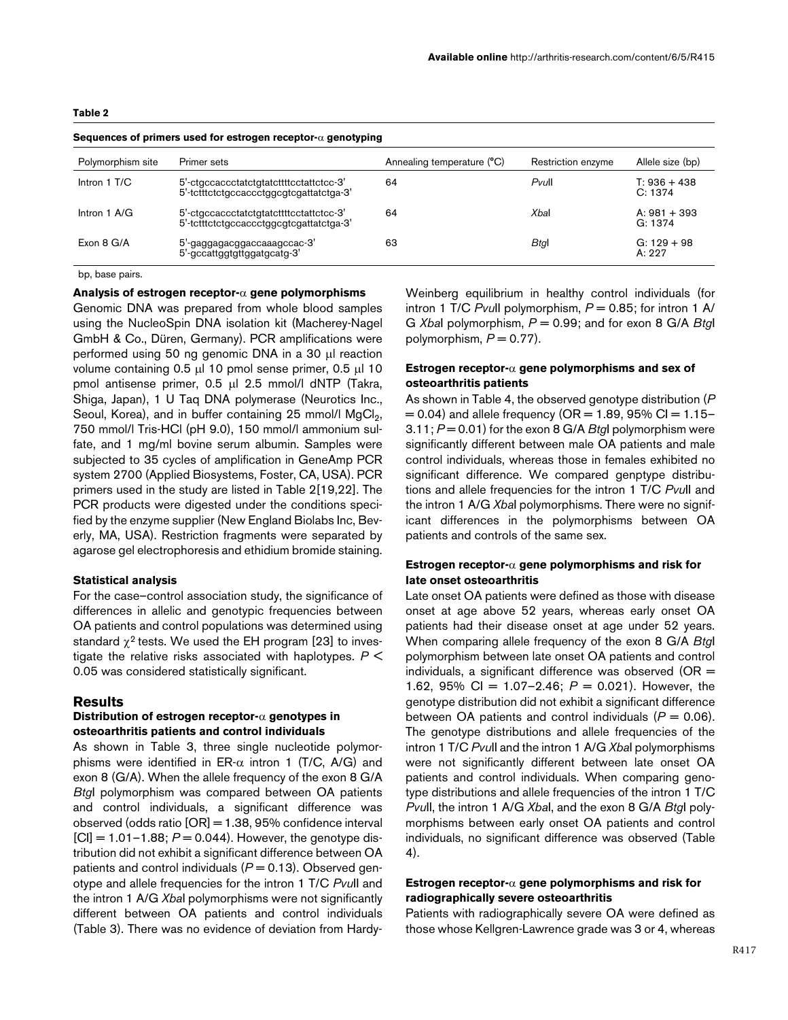<span id="page-2-0"></span>

| Sequences of primers used for estrogen receptor- $\alpha$ genotyping |                                                                                    |                            |                    |                           |  |  |  |  |  |
|----------------------------------------------------------------------|------------------------------------------------------------------------------------|----------------------------|--------------------|---------------------------|--|--|--|--|--|
| Polymorphism site                                                    | Primer sets                                                                        | Annealing temperature (°C) | Restriction enzyme | Allele size (bp)          |  |  |  |  |  |
| Intron 1 T/C                                                         | 5'-ctgccaccctatctgtatcttttcctattctcc-3'<br>5'-tctttctctgccaccctggcgtcgattatctga-3' | 64                         | $P$ vull           | $T: 936 + 438$<br>C: 1374 |  |  |  |  |  |
| Intron $1 \text{ A/G}$                                               | 5'-ctgccaccctatctgtatcttttcctattctcc-3'<br>5'-tctttctctgccaccctggcgtcgattatctga-3' | 64                         | Xbal               | $A: 981 + 393$<br>G: 1374 |  |  |  |  |  |
| Exon 8 G/A                                                           | 5'-gaggagacggaccaaagccac-3'<br>5'-gccattggtgttggatgcatg-3'                         | 63                         | Btgl               | $G: 129 + 98$<br>A: 227   |  |  |  |  |  |

bp, base pairs.

#### **Analysis of estrogen receptor-**α **gene polymorphisms**

Genomic DNA was prepared from whole blood samples using the NucleoSpin DNA isolation kit (Macherey-Nagel GmbH & Co., Düren, Germany). PCR amplifications were performed using 50 ng genomic DNA in a 30 µl reaction volume containing 0.5 µl 10 pmol sense primer, 0.5 µl 10 pmol antisense primer, 0.5 µl 2.5 mmol/l dNTP (Takra, Shiga, Japan), 1 U Taq DNA polymerase (Neurotics Inc., Seoul, Korea), and in buffer containing 25 mmol/l  $MgCl<sub>2</sub>$ , 750 mmol/l Tris-HCl (pH 9.0), 150 mmol/l ammonium sulfate, and 1 mg/ml bovine serum albumin. Samples were subjected to 35 cycles of amplification in GeneAmp PCR system 2700 (Applied Biosystems, Foster, CA, USA). PCR primers used in the study are listed in Table [2\[](#page-2-0)19,22]. The PCR products were digested under the conditions specified by the enzyme supplier (New England Biolabs Inc, Beverly, MA, USA). Restriction fragments were separated by agarose gel electrophoresis and ethidium bromide staining.

### **Statistical analysis**

For the case–control association study, the significance of differences in allelic and genotypic frequencies between OA patients and control populations was determined using standard  $\chi^2$  tests. We used the EH program [23] to investigate the relative risks associated with haplotypes. *P* < 0.05 was considered statistically significant.

#### **Results**

### **Distribution of estrogen receptor-**α **genotypes in osteoarthritis patients and control individuals**

As shown in Table [3,](#page-3-0) three single nucleotide polymorphisms were identified in ER- $\alpha$  intron 1 (T/C, A/G) and exon 8 (G/A). When the allele frequency of the exon 8 G/A *Btg*I polymorphism was compared between OA patients and control individuals, a significant difference was observed (odds ratio [OR] = 1.38, 95% confidence interval  $[CI] = 1.01 - 1.88$ ;  $P = 0.044$ ). However, the genotype distribution did not exhibit a significant difference between OA patients and control individuals (*P* = 0.13). Observed genotype and allele frequencies for the intron 1 T/C *Pvu*II and the intron 1 A/G *Xba*I polymorphisms were not significantly different between OA patients and control individuals (Table [3](#page-3-0)). There was no evidence of deviation from HardyWeinberg equilibrium in healthy control individuals (for intron 1 T/C *Pvull* polymorphism,  $P = 0.85$ ; for intron 1 A/ G *Xba*I polymorphism, *P* = 0.99; and for exon 8 G/A *Btg*I polymorphism,  $P = 0.77$ ).

### **Estrogen receptor-**α **gene polymorphisms and sex of osteoarthritis patients**

As shown in Table [4,](#page-4-0) the observed genotype distribution (*P*  $= 0.04$ ) and allele frequency (OR  $= 1.89$ , 95% Cl  $= 1.15-$ 3.11; *P* = 0.01) for the exon 8 G/A *Btg*I polymorphism were significantly different between male OA patients and male control individuals, whereas those in females exhibited no significant difference. We compared genptype distributions and allele frequencies for the intron 1 T/C *Pvu*II and the intron 1 A/G *Xba*I polymorphisms. There were no significant differences in the polymorphisms between OA patients and controls of the same sex.

# **Estrogen receptor-**α **gene polymorphisms and risk for late onset osteoarthritis**

Late onset OA patients were defined as those with disease onset at age above 52 years, whereas early onset OA patients had their disease onset at age under 52 years. When comparing allele frequency of the exon 8 G/A *Btg*I polymorphism between late onset OA patients and control individuals, a significant difference was observed ( $OR =$ 1.62, 95% CI = 1.07–2.46; *P* = 0.021). However, the genotype distribution did not exhibit a significant difference between OA patients and control individuals (*P* = 0.06). The genotype distributions and allele frequencies of the intron 1 T/C *Pvu*II and the intron 1 A/G *Xba*I polymorphisms were not significantly different between late onset OA patients and control individuals. When comparing genotype distributions and allele frequencies of the intron 1 T/C *Pvu*II, the intron 1 A/G *Xba*I, and the exon 8 G/A *Btg*I polymorphisms between early onset OA patients and control individuals, no significant difference was observed (Table [4\)](#page-4-0).

# **Estrogen receptor-**α **gene polymorphisms and risk for radiographically severe osteoarthritis**

Patients with radiographically severe OA were defined as those whose Kellgren-Lawrence grade was 3 or 4, whereas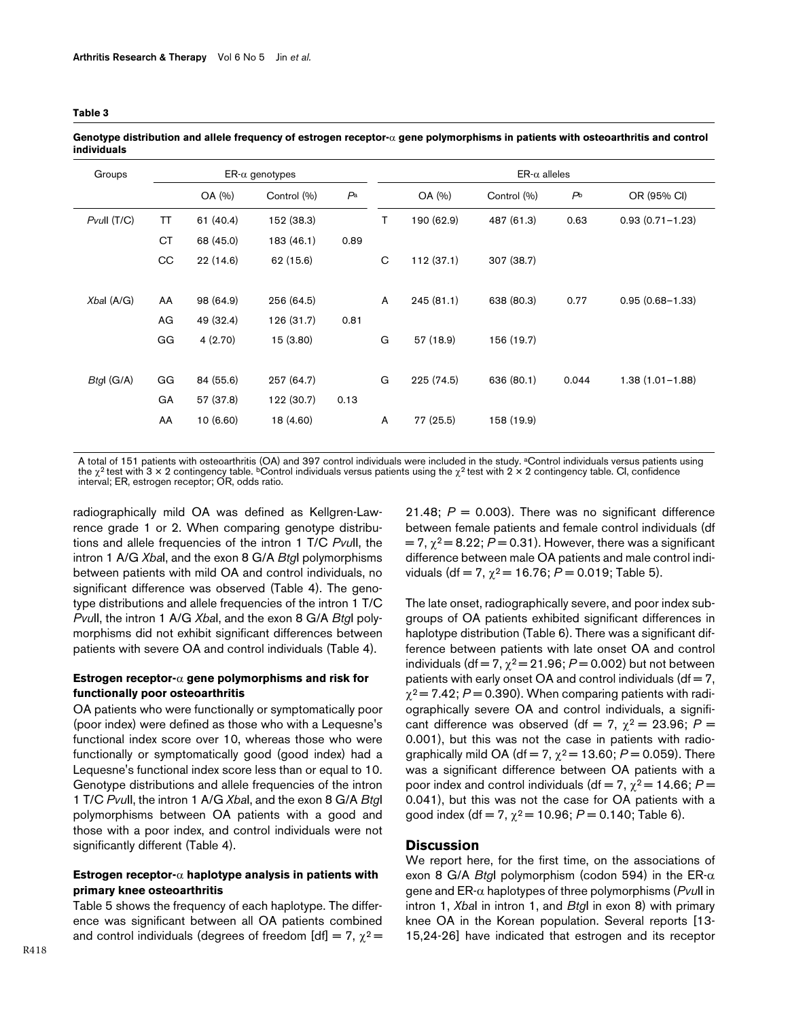| Groups           |           |           | $ER-\alpha$ genotypes |       | $ER-\alpha$ alleles |            |             |                |                     |  |
|------------------|-----------|-----------|-----------------------|-------|---------------------|------------|-------------|----------------|---------------------|--|
|                  |           | OA (%)    | Control (%)           | $P^a$ |                     | OA (%)     | Control (%) | P <sup>b</sup> | OR (95% CI)         |  |
| $P$ vull $(T/C)$ | TT        | 61 (40.4) | 152 (38.3)            |       | T                   | 190 (62.9) | 487 (61.3)  | 0.63           | $0.93(0.71 - 1.23)$ |  |
|                  | <b>CT</b> | 68 (45.0) | 183 (46.1)            | 0.89  |                     |            |             |                |                     |  |
|                  | CC        | 22 (14.6) | 62 (15.6)             |       | C                   | 112 (37.1) | 307 (38.7)  |                |                     |  |
| Xbal (A/G)       | AA        | 98 (64.9) | 256 (64.5)            |       | A                   | 245(81.1)  | 638 (80.3)  | 0.77           | $0.95(0.68 - 1.33)$ |  |
|                  | AG        | 49 (32.4) | 126 (31.7)            | 0.81  |                     |            |             |                |                     |  |
|                  | GG        | 4(2.70)   | 15(3.80)              |       | G                   | 57 (18.9)  | 156 (19.7)  |                |                     |  |
|                  |           |           |                       |       |                     |            |             |                |                     |  |
| $B$ tgl (G/A)    | GG        | 84 (55.6) | 257 (64.7)            |       | G                   | 225 (74.5) | 636 (80.1)  | 0.044          | 1.38 (1.01-1.88)    |  |
|                  | GA        | 57 (37.8) | 122 (30.7)            | 0.13  |                     |            |             |                |                     |  |
|                  | AA        | 10(6.60)  | 18 (4.60)             |       | A                   | 77 (25.5)  | 158 (19.9)  |                |                     |  |
|                  |           |           |                       |       |                     |            |             |                |                     |  |

<span id="page-3-0"></span>**Genotype distribution and allele frequency of estrogen receptor-**α **gene polymorphisms in patients with osteoarthritis and control individuals**

A total of 151 patients with osteoarthritis (OA) and 397 control individuals were included in the study. aControl individuals versus patients using the χ<sup>2</sup> test with 3 × 2 contingency table. <sup>b</sup>Control individuals versus patients using the χ<sup>2</sup> test with 2 × 2 contingency table. Cl, confidence<br>interval; ER, estrogen receptor; OR, odds ratio.

radiographically mild OA was defined as Kellgren-Lawrence grade 1 or 2. When comparing genotype distributions and allele frequencies of the intron 1 T/C *Pvu*II, the intron 1 A/G *Xba*I, and the exon 8 G/A *Btg*I polymorphisms between patients with mild OA and control individuals, no significant difference was observed (Table [4](#page-4-0)). The genotype distributions and allele frequencies of the intron 1 T/C *Pvu*II, the intron 1 A/G *Xba*I, and the exon 8 G/A *Btg*I polymorphisms did not exhibit significant differences between patients with severe OA and control individuals (Table [4\)](#page-4-0).

# **Estrogen receptor-**α **gene polymorphisms and risk for functionally poor osteoarthritis**

OA patients who were functionally or symptomatically poor (poor index) were defined as those who with a Lequesne's functional index score over 10, whereas those who were functionally or symptomatically good (good index) had a Lequesne's functional index score less than or equal to 10. Genotype distributions and allele frequencies of the intron 1 T/C *Pvu*II, the intron 1 A/G *Xba*I, and the exon 8 G/A *Btg*I polymorphisms between OA patients with a good and those with a poor index, and control individuals were not significantly different (Table [4](#page-4-0)).

### **Estrogen receptor-**α **haplotype analysis in patients with primary knee osteoarthritis**

Table [5](#page-5-0) shows the frequency of each haplotype. The difference was significant between all OA patients combined and control individuals (degrees of freedom [df] = 7,  $\chi^2$  =

21.48;  $P = 0.003$ ). There was no significant difference between female patients and female control individuals (df  $= 7, \chi^2 = 8.22$ ;  $P = 0.31$ ). However, there was a significant difference between male OA patients and male control individuals (df = 7,  $\chi^2$  = 16.76;  $P$  = 0.019; Table [5\)](#page-5-0).

The late onset, radiographically severe, and poor index subgroups of OA patients exhibited significant differences in haplotype distribution (Table [6\)](#page-5-1). There was a significant difference between patients with late onset OA and control individuals (df = 7,  $\chi^2$  = 21.96;  $P$  = 0.002) but not between patients with early onset OA and control individuals ( $df = 7$ ,  $\chi^2$  = 7.42; *P* = 0.390). When comparing patients with radiographically severe OA and control individuals, a significant difference was observed (df = 7,  $\chi^2$  = 23.96; P = 0.001), but this was not the case in patients with radiographically mild OA (df = 7,  $\chi^2$  = 13.60;  $P$  = 0.059). There was a significant difference between OA patients with a poor index and control individuals (df = 7,  $\chi^2$  = 14.66; P = 0.041), but this was not the case for OA patients with a good index (df = 7,  $\chi^2$  = 10.96;  $P$  = 0.140; Table [6](#page-5-1)).

### **Discussion**

We report here, for the first time, on the associations of exon 8 G/A *Btg*I polymorphism (codon 594) in the ER-α gene and ER-α haplotypes of three polymorphisms (*Pvu*II in intron 1, *Xba*I in intron 1, and *Btg*I in exon 8) with primary knee OA in the Korean population. Several reports [13- 15,24-26] have indicated that estrogen and its receptor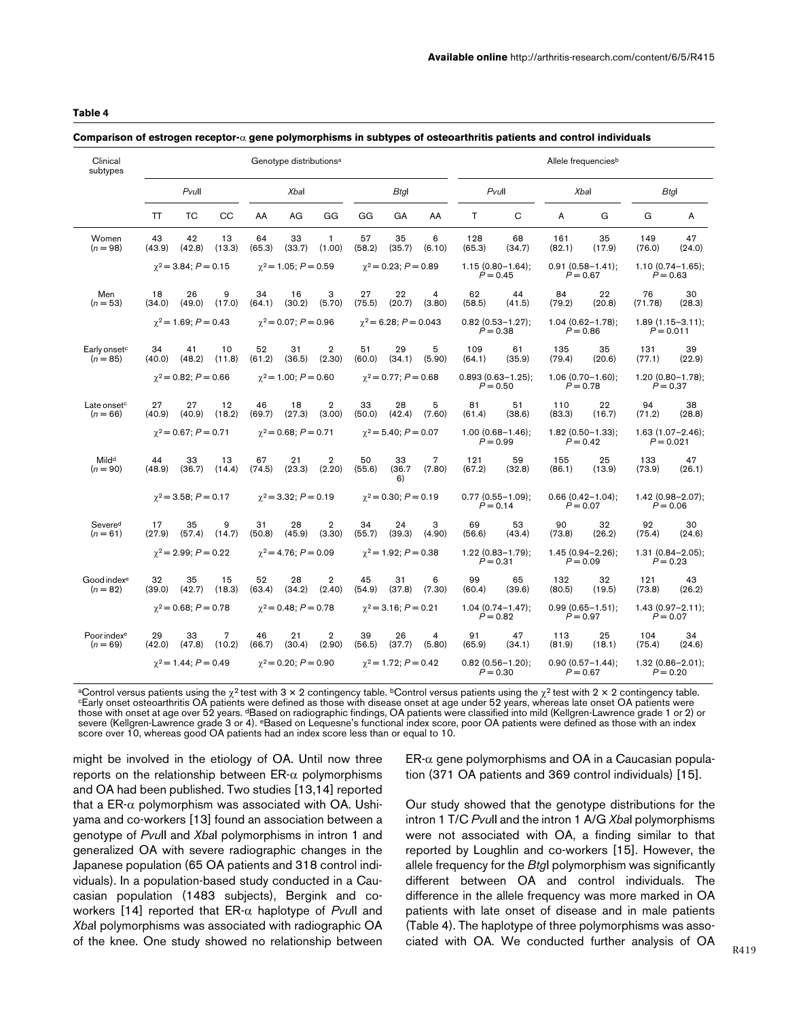### <span id="page-4-0"></span>**Comparison of estrogen receptor-**α **gene polymorphisms in subtypes of osteoarthritis patients and control individuals**

| Clinical<br>subtypes                   | Genotype distributions <sup>a</sup> |                                                               |                     |                             |                                |                          | Allele frequencies <sup>b</sup> |                                                                            |                                                                            |                                                                          |                                     |                                    |                                     |                                     |              |
|----------------------------------------|-------------------------------------|---------------------------------------------------------------|---------------------|-----------------------------|--------------------------------|--------------------------|---------------------------------|----------------------------------------------------------------------------|----------------------------------------------------------------------------|--------------------------------------------------------------------------|-------------------------------------|------------------------------------|-------------------------------------|-------------------------------------|--------------|
|                                        | $P$ vull                            |                                                               | Xbal<br><b>Btgl</b> |                             |                                | Pvull<br><b>Xbal</b>     |                                 |                                                                            | <b>Btgl</b>                                                                |                                                                          |                                     |                                    |                                     |                                     |              |
|                                        | TT                                  | ТC                                                            | CC                  | AA                          | AG                             | GG                       | GG                              | GA                                                                         | AA                                                                         | T                                                                        | C                                   | A                                  | G                                   | G                                   | Α            |
| Women<br>$(n = 98)$                    | 43<br>(43.9)                        | 42<br>(42.8)                                                  | 13<br>(13.3)        | 64<br>(65.3)                | 33<br>(33.7)                   | 1<br>(1.00)              | 57<br>(58.2)                    | 35<br>(35.7)                                                               | 6<br>(6.10)                                                                | 128<br>(65.3)                                                            | 68<br>(34.7)                        | 161<br>(82.1)                      | 35<br>(17.9)                        | 149<br>(76.0)                       | 47<br>(24.0) |
|                                        | $\gamma^2 = 3.84$ ; $P = 0.15$      |                                                               |                     | $\gamma^2$ = 1.05; P = 0.59 |                                |                          | $\gamma^2 = 0.23$ ; $P = 0.89$  |                                                                            |                                                                            | $1.15(0.80 - 1.64);$<br>$P = 0.45$                                       |                                     | $0.91(0.58 - 1.41);$<br>$P = 0.67$ | $1.10(0.74 - 1.65)$ ;<br>$P = 0.63$ |                                     |              |
| Men<br>$(n = 53)$                      | 18<br>(34.0)                        | 26<br>(49.0)                                                  | 9<br>(17.0)         | 34<br>(64.1)                | 16<br>(30.2)                   | 3<br>(5.70)              | 27<br>(75.5)                    | 22<br>(20.7)                                                               | $\overline{4}$<br>(3.80)                                                   | 62<br>(58.5)                                                             | 44<br>(41.5)                        | 84<br>(79.2)                       | 22<br>(20.8)                        | 76<br>(71.78)                       | 30<br>(28.3) |
|                                        |                                     | $\gamma^2$ = 1.69; P = 0.43<br>$\gamma^2 = 0.07$ ; $P = 0.96$ |                     |                             | $\gamma^2$ = 6.28; P = 0.043   |                          |                                 | $0.82$ (0.53-1.27);<br>$P = 0.38$                                          | $1.04(0.62 - 1.78)$ ;<br>$1.89(1.15 - 3.11);$<br>$P = 0.86$<br>$P = 0.011$ |                                                                          |                                     |                                    |                                     |                                     |              |
| Early onset <sup>c</sup><br>$(n = 85)$ | 34<br>(40.0)                        | 41<br>(48.2)                                                  | 10<br>(11.8)        | 52<br>(61.2)                | 31<br>(36.5)                   | $\overline{2}$<br>(2.30) | 51<br>(60.0)                    | 29<br>(34.1)                                                               | 5<br>(5.90)                                                                | 109<br>(64.1)                                                            | 61<br>(35.9)                        | 135<br>(79.4)                      | 35<br>(20.6)                        | 131<br>(77.1)                       | 39<br>(22.9) |
|                                        |                                     | $\gamma^2$ = 0.82; P = 0.66<br>$\gamma^2$ = 1.00; P = 0.60    |                     |                             | $\chi^2$ = 0.77; P = 0.68      |                          |                                 | $0.893(0.63 - 1.25);$<br>$1.06(0.70 - 1.60)$ ;<br>$P = 0.50$<br>$P = 0.78$ |                                                                            |                                                                          | $1.20(0.80 - 1.78)$ ;<br>$P = 0.37$ |                                    |                                     |                                     |              |
| Late onset <sup>c</sup><br>$(n = 66)$  | 27<br>(40.9)                        | 27<br>(40.9)                                                  | 12<br>(18.2)        | 46<br>(69.7)                | 18<br>(27.3)                   | $\overline{2}$<br>(3.00) | 33<br>(50.0)                    | 28<br>(42.4)                                                               | 5<br>(7.60)                                                                | 81<br>(61.4)                                                             | 51<br>(38.6)                        | 110<br>(83.3)                      | 22<br>(16.7)                        | 94<br>(71.2)                        | 38<br>(28.8) |
|                                        |                                     | $\gamma^2 = 0.67$ ; $P = 0.71$                                |                     |                             | $\gamma^2 = 0.68$ ; $P = 0.71$ |                          | $\gamma^2 = 5.40$ ; $P = 0.07$  |                                                                            |                                                                            | $1.00(0.68 - 1.46);$<br>$1.82(0.50 - 1.33);$<br>$P = 0.99$<br>$P = 0.42$ |                                     |                                    | $1.63(1.07 - 2.46);$<br>$P = 0.021$ |                                     |              |
| Mild <sup>d</sup><br>$(n = 90)$        | 44<br>(48.9)                        | 33<br>(36.7)                                                  | 13<br>(14.4)        | 67<br>(74.5)                | 21<br>(23.3)                   | $\overline{2}$<br>(2.20) | 50<br>(55.6)                    | 33<br>(36.7)<br>6)                                                         | 7<br>(7.80)                                                                | 121<br>(67.2)                                                            | 59<br>(32.8)                        | 155<br>(86.1)                      | 25<br>(13.9)                        | 133<br>(73.9)                       | 47<br>(26.1) |
|                                        |                                     | $\gamma^2$ = 3.58; P = 0.17                                   |                     |                             | $\gamma^2$ = 3.32; P = 0.19    |                          |                                 | $\gamma^2$ = 0.30; P = 0.19<br>$0.77(0.55 - 1.09);$<br>$P = 0.14$          |                                                                            |                                                                          | $0.66(0.42 - 1.04)$ ;<br>$P = 0.07$ |                                    | $1.42(0.98 - 2.07);$<br>$P = 0.06$  |                                     |              |
| Severed<br>$(n = 61)$                  | 17<br>(27.9)                        | 35<br>(57.4)                                                  | 9<br>(14.7)         | 31<br>(50.8)                | 28<br>(45.9)                   | $\overline{2}$<br>(3.30) | 34<br>(55.7)                    | 24<br>(39.3)                                                               | 3<br>(4.90)                                                                | 69<br>(56.6)                                                             | 53<br>(43.4)                        | 90<br>(73.8)                       | 32<br>(26.2)                        | 92<br>(75.4)                        | 30<br>(24.6) |
|                                        |                                     | $\gamma^2$ = 2.99; P = 0.22                                   |                     |                             | $\gamma^2$ = 4.76; P = 0.09    |                          |                                 | $\gamma^2$ = 1.92; P = 0.38                                                |                                                                            |                                                                          | $1.22(0.83 - 1.79)$ ;<br>$P = 0.31$ |                                    | $1.45(0.94 - 2.26);$<br>$P = 0.09$  | $1.31(0.84 - 2.05);$<br>$P = 0.23$  |              |
| Good index <sup>e</sup><br>$(n = 82)$  | 32<br>(39.0)                        | 35<br>(42.7)                                                  | 15<br>(18.3)        | 52<br>(63.4)                | 28<br>(34.2)                   | $\overline{2}$<br>(2.40) | 45<br>(54.9)                    | 31<br>(37.8)                                                               | 6<br>(7.30)                                                                | 99<br>(60.4)                                                             | 65<br>(39.6)                        | 132<br>(80.5)                      | 32<br>(19.5)                        | 121<br>(73.8)                       | 43<br>(26.2) |
|                                        |                                     | $\gamma^2$ = 0.68; P = 0.78                                   |                     |                             | $\gamma^2$ = 0.48; P = 0.78    |                          |                                 | $\gamma^2$ = 3.16; P = 0.21                                                |                                                                            |                                                                          | $1.04(0.74 - 1.47);$<br>$P = 0.82$  |                                    | $0.99(0.65 - 1.51);$<br>$P = 0.97$  | $1.43(0.97 - 2.11);$<br>$P = 0.07$  |              |
| Poor index <sup>e</sup><br>$(n = 69)$  | 29<br>(42.0)                        | 33<br>(47.8)                                                  | 7<br>(10.2)         | 46<br>(66.7)                | 21<br>(30.4)                   | $\overline{2}$<br>(2.90) | 39<br>(56.5)                    | 26<br>(37.7)                                                               | 4<br>(5.80)                                                                | 91<br>(65.9)                                                             | 47<br>(34.1)                        | 113<br>(81.9)                      | 25<br>(18.1)                        | 104<br>(75.4)                       | 34<br>(24.6) |
|                                        |                                     | $\gamma^2$ = 1.44; P = 0.49                                   |                     |                             | $\gamma^2$ = 0.20; P = 0.90    |                          |                                 | $\gamma^2$ = 1.72; P = 0.42                                                |                                                                            |                                                                          | $0.82(0.56 - 1.20)$ :<br>$P = 0.30$ |                                    | $0.90(0.57 - 1.44)$ :<br>$P = 0.67$ | $1.32(0.86 - 2.01)$ :<br>$P = 0.20$ |              |

<sup>a</sup>Control versus patients using the  $\chi^2$  test with 3 × 2 contingency table. <sup>b</sup>Control versus patients using the  $\chi^2$  test with 2 × 2 contingency table.<br><sup>c</sup>Early onset osteoarthritis OA patients were defined as those those with onset at age over 52 years. dBased on radiographic findings, OA patients were classified into mild (Kellgren-Lawrence grade 1 or 2) or severe (Kellgren-Lawrence grade 3 or 4). <sup>e</sup>Based on Lequesne's functional index score, poor OA patients were defined as those with an index score over 10, whereas good OA patients had an index score less than or equal to 10.

might be involved in the etiology of OA. Until now three reports on the relationship between  $ER-α$  polymorphisms and OA had been published. Two studies [13,14] reported that a ER- $\alpha$  polymorphism was associated with OA. Ushiyama and co-workers [13] found an association between a genotype of *Pvu*II and *Xba*I polymorphisms in intron 1 and generalized OA with severe radiographic changes in the Japanese population (65 OA patients and 318 control individuals). In a population-based study conducted in a Caucasian population (1483 subjects), Bergink and coworkers [14] reported that ER-α haplotype of *Pvu*II and *Xba*I polymorphisms was associated with radiographic OA of the knee. One study showed no relationship between

 $ER-\alpha$  gene polymorphisms and OA in a Caucasian population (371 OA patients and 369 control individuals) [15].

Our study showed that the genotype distributions for the intron 1 T/C *Pvu*II and the intron 1 A/G *Xba*I polymorphisms were not associated with OA, a finding similar to that reported by Loughlin and co-workers [15]. However, the allele frequency for the *Btg*I polymorphism was significantly different between OA and control individuals. The difference in the allele frequency was more marked in OA patients with late onset of disease and in male patients (Table [4\)](#page-4-0). The haplotype of three polymorphisms was associated with OA. We conducted further analysis of OA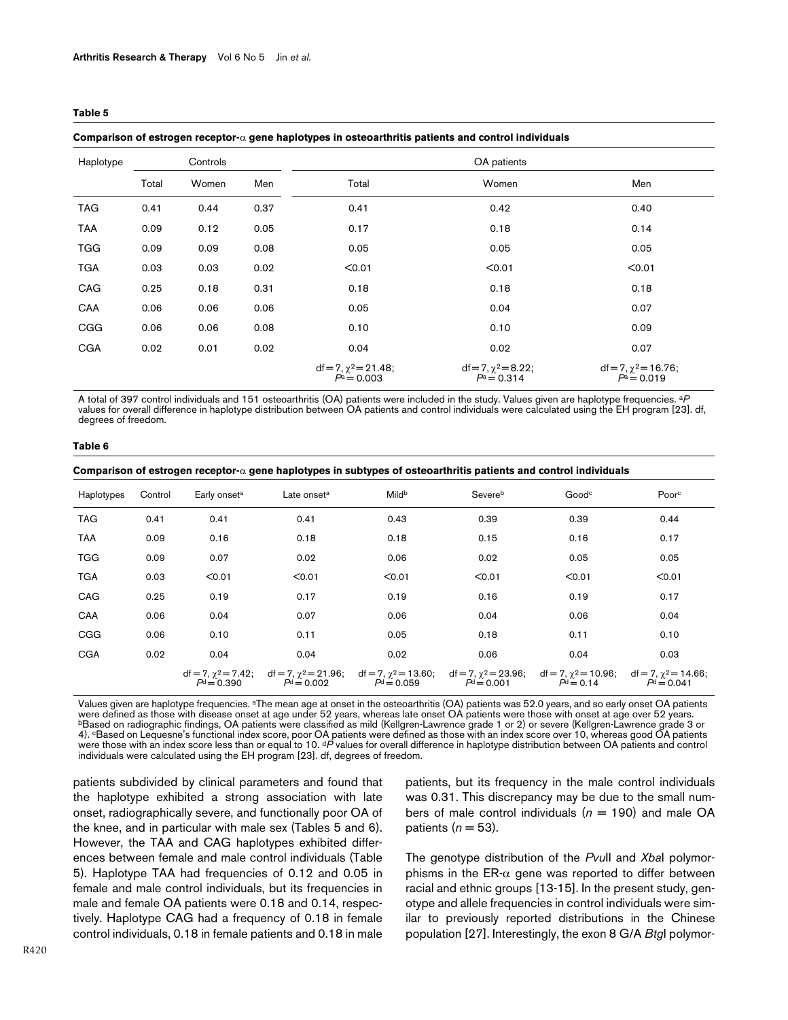#### <span id="page-5-0"></span>**Comparison of estrogen receptor-**α **gene haplotypes in osteoarthritis patients and control individuals**

| Haplotype  |       | Controls |      |                                               | OA patients                               |                                              |  |  |
|------------|-------|----------|------|-----------------------------------------------|-------------------------------------------|----------------------------------------------|--|--|
|            | Total | Women    | Men  | Total                                         | Women                                     | Men                                          |  |  |
| <b>TAG</b> | 0.41  | 0.44     | 0.37 | 0.41                                          | 0.42                                      | 0.40                                         |  |  |
| <b>TAA</b> | 0.09  | 0.12     | 0.05 | 0.17                                          | 0.18                                      | 0.14                                         |  |  |
| <b>TGG</b> | 0.09  | 0.09     | 0.08 | 0.05                                          | 0.05                                      | 0.05                                         |  |  |
| <b>TGA</b> | 0.03  | 0.03     | 0.02 | < 0.01                                        | < 0.01                                    | < 0.01                                       |  |  |
| CAG        | 0.25  | 0.18     | 0.31 | 0.18                                          | 0.18                                      | 0.18                                         |  |  |
| CAA        | 0.06  | 0.06     | 0.06 | 0.05                                          | 0.04                                      | 0.07                                         |  |  |
| <b>CGG</b> | 0.06  | 0.06     | 0.08 | 0.10                                          | 0.10                                      | 0.09                                         |  |  |
| <b>CGA</b> | 0.02  | 0.01     | 0.02 | 0.04                                          | 0.02                                      | 0.07                                         |  |  |
|            |       |          |      | $df = 7, \gamma^2 = 21.48$ ;<br>$P^a = 0.003$ | $df = 7, \chi^2 = 8.22;$<br>$P^a = 0.314$ | $df = 7, \gamma^2 = 16.76;$<br>$P^a = 0.019$ |  |  |

A total of 397 control individuals and 151 osteoarthritis (OA) patients were included in the study. Values given are haplotype frequencies. a*P*  values for overall difference in haplotype distribution between OA patients and control individuals were calculated using the EH program [23]. df, degrees of freedom.

#### <span id="page-5-1"></span>**Table 6**

**Comparison of estrogen receptor-**α **gene haplotypes in subtypes of osteoarthritis patients and control individuals**

| Haplotypes | Control | Early onset <sup>a</sup> | Late onset <sup>a</sup>                                                                            | Mildb        | Severeb                                     | Good <sup>c</sup>                          | Poorc                                       |
|------------|---------|--------------------------|----------------------------------------------------------------------------------------------------|--------------|---------------------------------------------|--------------------------------------------|---------------------------------------------|
| <b>TAG</b> | 0.41    | 0.41                     | 0.41                                                                                               | 0.43         | 0.39                                        | 0.39                                       | 0.44                                        |
| <b>TAA</b> | 0.09    | 0.16                     | 0.18                                                                                               | 0.18         | 0.15                                        | 0.16                                       | 0.17                                        |
| <b>TGG</b> | 0.09    | 0.07                     | 0.02                                                                                               | 0.06         | 0.02                                        | 0.05                                       | 0.05                                        |
| <b>TGA</b> | 0.03    | < 0.01                   | < 0.01                                                                                             | < 0.01       | < 0.01                                      | < 0.01                                     | < 0.01                                      |
| CAG        | 0.25    | 0.19                     | 0.17                                                                                               | 0.19         | 0.16                                        | 0.19                                       | 0.17                                        |
| CAA        | 0.06    | 0.04                     | 0.07                                                                                               | 0.06         | 0.04                                        | 0.06                                       | 0.04                                        |
| CGG        | 0.06    | 0.10                     | 0.11                                                                                               | 0.05         | 0.18                                        | 0.11                                       | 0.10                                        |
| <b>CGA</b> | 0.02    | 0.04                     | 0.04                                                                                               | 0.02         | 0.06                                        | 0.04                                       | 0.03                                        |
|            |         | $Pd = 0.390$             | $df = 7, \gamma^2 = 7.42;$ $df = 7, \gamma^2 = 21.96;$ $df = 7, \gamma^2 = 13.60;$<br>$Pd = 0.002$ | $Pd = 0.059$ | $df = 7, \gamma^2 = 23.96;$<br>$Pd = 0.001$ | $df = 7, \gamma^2 = 10.96;$<br>$Pd = 0.14$ | $df = 7, \gamma^2 = 14.66;$<br>$Pd = 0.041$ |

Values given are haplotype frequencies. <sup>a</sup>The mean age at onset in the osteoarthritis (OA) patients was 52.0 years, and so early onset OA patients were defined as those with disease onset at age under 52 years. <sup>b</sup>Based on radiographic findings, OA patients were classified as mild (Kellgren-Lawrence grade 1 or 2) or severe (Kellgren-Lawrence grade 3 or 4). cBased on Lequesne's functional index score, poor OA patients were defined as those with an index score over 10, whereas good OA patients were those with an index score less than or equal to 10. d*P* values for overall difference in haplotype distribution between OA patients and control individuals were calculated using the EH program [23]. df, degrees of freedom.

patients subdivided by clinical parameters and found that the haplotype exhibited a strong association with late onset, radiographically severe, and functionally poor OA of the knee, and in particular with male sex (Tables [5](#page-5-0) and [6](#page-5-1)). However, the TAA and CAG haplotypes exhibited differences between female and male control individuals (Table [5\)](#page-5-0). Haplotype TAA had frequencies of 0.12 and 0.05 in female and male control individuals, but its frequencies in male and female OA patients were 0.18 and 0.14, respectively. Haplotype CAG had a frequency of 0.18 in female control individuals, 0.18 in female patients and 0.18 in male

patients, but its frequency in the male control individuals was 0.31. This discrepancy may be due to the small numbers of male control individuals  $(n = 190)$  and male OA patients  $(n = 53)$ .

The genotype distribution of the *Pvu*II and *Xba*I polymorphisms in the  $ER-α$  gene was reported to differ between racial and ethnic groups [13-15]. In the present study, genotype and allele frequencies in control individuals were similar to previously reported distributions in the Chinese population [27]. Interestingly, the exon 8 G/A *Btg*I polymor-